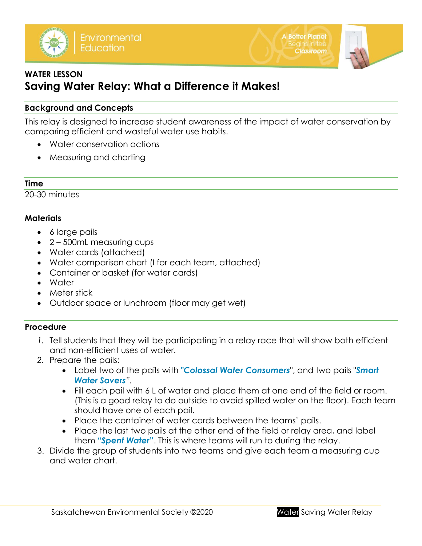



# **WATER LESSON Saving Water Relay: What a Difference it Makes!**

### **Background and Concepts**

This relay is designed to increase student awareness of the impact of water conservation by comparing efficient and wasteful water use habits.

- Water conservation actions
- Measuring and charting

#### **Time**

20-30 minutes

#### **Materials**

- 6 large pails
- 2 500mL measuring cups
- Water cards (attached)
- Water comparison chart (I for each team, attached)
- Container or basket (for water cards)
- Water
- Meter stick
- Outdoor space or lunchroom (floor may get wet)

#### **Procedure**

- *1.* Tell students that they will be participating in a relay race that will show both efficient and non-efficient uses of water.
- *2.* Prepare the pails:
	- Label two of the pails with **"***Colossal Water Consumers*", and two pails "*Smart Water Savers".*
	- Fill each pail with 6 L of water and place them at one end of the field or room. (This is a good relay to do outside to avoid spilled water on the floor). Each team should have one of each pail.
	- Place the container of water cards between the teams' pails.
	- Place the last two pails at the other end of the field or relay area, and label them **"***Spent Water***"**. This is where teams will run to during the relay.
- 3. Divide the group of students into two teams and give each team a measuring cup and water chart.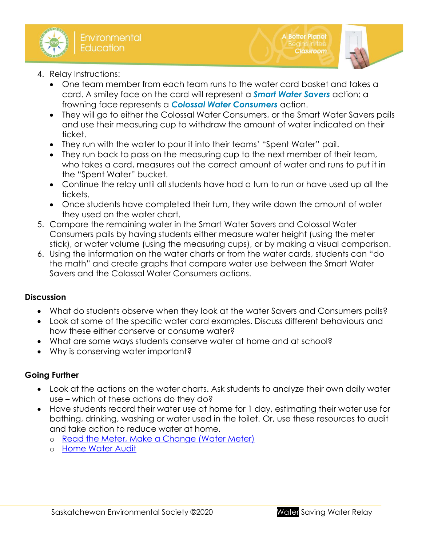

- 4. Relay Instructions:
	- One team member from each team runs to the water card basket and takes a card. A smiley face on the card will represent a *Smart Water Savers* action; a frowning face represents a *Colossal Water Consumers* action.
	- They will go to either the Colossal Water Consumers, or the Smart Water Savers pails and use their measuring cup to withdraw the amount of water indicated on their ticket.
	- They run with the water to pour it into their teams' "Spent Water" pail.
	- They run back to pass on the measuring cup to the next member of their team, who takes a card, measures out the correct amount of water and runs to put it in the "Spent Water" bucket.
	- Continue the relay until all students have had a turn to run or have used up all the tickets.
	- Once students have completed their turn, they write down the amount of water they used on the water chart.
- 5. Compare the remaining water in the Smart Water Savers and Colossal Water Consumers pails by having students either measure water height (using the meter stick), or water volume (using the measuring cups), or by making a visual comparison.
- 6. Using the information on the water charts or from the water cards, students can "do the math" and create graphs that compare water use between the Smart Water Savers and the Colossal Water Consumers actions.

## **Discussion**

- What do students observe when they look at the water Savers and Consumers pails?
- Look at some of the specific water card examples. Discuss different behaviours and how these either conserve or consume water?
- What are some ways students conserve water at home and at school?
- Why is conserving water important?

#### **Going Further**

- Look at the actions on the water charts. Ask students to analyze their own daily water use – which of these actions do they do?
- Have students record their water use at home for 1 day, estimating their water use for bathing, drinking, washing or water used in the toilet. Or, use these resources to audit and take action to reduce water at home.
	- o [Read the Meter, Make a Change \(Water Meter\)](http://environmentalsociety.ca/wp-content/uploads/2020/09/Adapted-Audit-Reading-water-meters.pdf)
	- o [Home Water Audit](http://environmentalsociety.ca/wp-content/uploads/2014/10/Home-Water-Audit-UPDATED.pdf)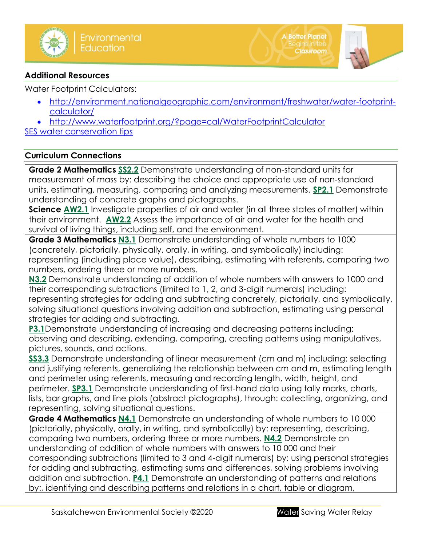

#### **Additional Resources**

Water Footprint Calculators:

- [http://environment.nationalgeographic.com/environment/freshwater/water-footprint](http://environment.nationalgeographic.com/environment/freshwater/water-footprint-calculator/)[calculator/](http://environment.nationalgeographic.com/environment/freshwater/water-footprint-calculator/)
- <http://www.waterfootprint.org/?page=cal/WaterFootprintCalculator>

[SES water conservation tips](http://environmentalsociety.ca/category/tips/)

### **Curriculum Connections**

**Grade 2 Mathematics [SS2.2](https://www.edonline.sk.ca/webapps/moe-curriculum-BB5f208b6da4613/CurriculumOutcomeContent?id=146&oc=78376)** Demonstrate understanding of non-standard units for measurement of mass by: describing the choice and appropriate use of non-standard units, estimating, measuring, comparing and analyzing measurements. **[SP2.1](https://www.edonline.sk.ca/webapps/moe-curriculum-BB5f208b6da4613/CurriculumOutcomeContent?id=146&oc=78406)** Demonstrate understanding of concrete graphs and pictographs.

**Science [AW2.1](https://www.edonline.sk.ca/webapps/moe-curriculum-BB5f208b6da4613/CurriculumOutcomeContent?id=55&oc=24473)** Investigate properties of air and water (in all three states of matter) within their environment. **[AW2.2](https://www.edonline.sk.ca/webapps/moe-curriculum-BB5f208b6da4613/CurriculumOutcomeContent?id=55&oc=24484)** Assess the importance of air and water for the health and survival of living things, including self, and the environment.

**Grade 3 Mathematics [N3.1](https://www.edonline.sk.ca/webapps/moe-curriculum-BB5f208b6da4613/CurriculumOutcomeContent?id=147&oc=78165)** Demonstrate understanding of whole numbers to 1000 (concretely, pictorially, physically, orally, in writing, and symbolically) including: representing (including place value), describing, estimating with referents, comparing two numbers, ordering three or more numbers.

**[N3.2](https://www.edonline.sk.ca/webapps/moe-curriculum-BB5f208b6da4613/CurriculumOutcomeContent?id=147&oc=78183)** Demonstrate understanding of addition of whole numbers with answers to 1000 and their corresponding subtractions (limited to 1, 2, and 3-digit numerals) including: representing strategies for adding and subtracting concretely, pictorially, and symbolically, solving situational questions involving addition and subtraction, estimating using personal strategies for adding and subtracting.

**[P3.1](https://www.edonline.sk.ca/webapps/moe-curriculum-BB5f208b6da4613/CurriculumOutcomeContent?id=147&oc=78222)**Demonstrate understanding of increasing and decreasing patterns including: observing and describing, extending, comparing, creating patterns using manipulatives, pictures, sounds, and actions.

**[SS3.3](https://www.edonline.sk.ca/webapps/moe-curriculum-BB5f208b6da4613/CurriculumOutcomeContent?id=147&oc=78267)** Demonstrate understanding of linear measurement (cm and m) including: selecting and justifying referents, generalizing the relationship between cm and m, estimating length and perimeter using referents, measuring and recording length, width, height, and perimeter. **[SP3.1](https://www.edonline.sk.ca/webapps/moe-curriculum-BB5f208b6da4613/CurriculumOutcomeContent?id=147&oc=78298)** Demonstrate understanding of first-hand data using tally marks, charts, lists, bar graphs, and line plots (abstract pictographs), through: collecting, organizing, and representing, solving situational questions.

**Grade 4 Mathematics [N4.1](https://www.edonline.sk.ca/webapps/moe-curriculum-BB5f208b6da4613/CurriculumOutcomeContent?id=148&oc=79167)** Demonstrate an understanding of whole numbers to 10 000 (pictorially, physically, orally, in writing, and symbolically) by: representing, describing, comparing two numbers, ordering three or more numbers. **[N4.2](https://www.edonline.sk.ca/webapps/moe-curriculum-BB5f208b6da4613/CurriculumOutcomeContent?id=148&oc=79183)** Demonstrate an understanding of addition of whole numbers with answers to 10 000 and their corresponding subtractions (limited to 3 and 4-digit numerals) by: using personal strategies for adding and subtracting, estimating sums and differences, solving problems involving addition and subtraction. **[P4.1](https://www.edonline.sk.ca/webapps/moe-curriculum-BB5f208b6da4613/CurriculumOutcomeContent?id=148&oc=79247)** Demonstrate an understanding of patterns and relations by:, identifying and describing patterns and relations in a chart, table or diagram,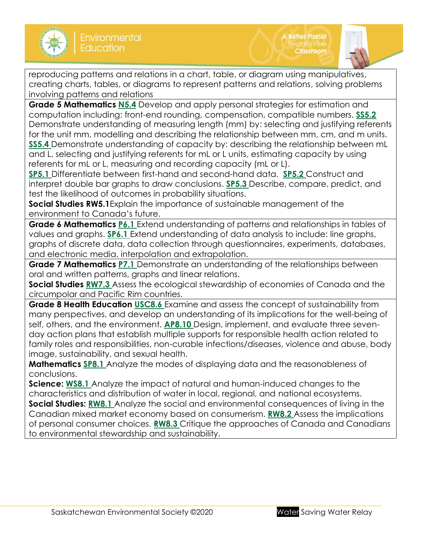

reproducing patterns and relations in a chart, table, or diagram using manipulatives, creating charts, tables, or diagrams to represent patterns and relations, solving problems involving patterns and relations

**Grade 5 Mathematics [N5.4](https://www.edonline.sk.ca/webapps/moe-curriculum-BB5f208b6da4613/CurriculumOutcomeContent?id=149&oc=78446)** Develop and apply personal strategies for estimation and computation including: front-end rounding, compensation, compatible numbers. **[SS5.2](https://www.edonline.sk.ca/webapps/moe-curriculum-BB5f208b6da4613/CurriculumOutcomeContent?id=149&oc=78504)** Demonstrate understanding of measuring length (mm) by: selecting and justifying referents for the unit mm, modelling and describing the relationship between mm, cm, and m units. **[SS5.4](https://www.edonline.sk.ca/webapps/moe-curriculum-BB5f208b6da4613/CurriculumOutcomeContent?id=149&oc=78517)** Demonstrate understanding of capacity by: describing the relationship between mL and L, selecting and justifying referents for mL or L units, estimating capacity by using referents for mL or L, measuring and recording capacity (mL or L).

**[SP5.1](https://www.edonline.sk.ca/webapps/moe-curriculum-BB5f208b6da4613/CurriculumOutcomeContent?id=149&oc=78545)** Differentiate between first-hand and second-hand data. **[SP5.2](https://www.edonline.sk.ca/webapps/moe-curriculum-BB5f208b6da4613/CurriculumOutcomeContent?id=149&oc=78550)** Construct and interpret double bar graphs to draw conclusions. **[SP5.3](https://www.edonline.sk.ca/webapps/moe-curriculum-BB5f208b6da4613/CurriculumOutcomeContent?id=149&oc=78554)** Describe, compare, predict, and test the likelihood of outcomes in probability situations.

**Social Studies RW5.1**Explain the importance of sustainable management of the environment to Canada's future.

**Grade 6 Mathematics [P6.1](https://www.edonline.sk.ca/webapps/moe-curriculum-BB5f208b6da4613/CurriculumOutcomeContent?id=150&oc=78627)** Extend understanding of patterns and relationships in tables of values and graphs. **[SP6.1](https://www.edonline.sk.ca/webapps/moe-curriculum-BB5f208b6da4613/CurriculumOutcomeContent?id=150&oc=78706)** Extend understanding of data analysis to include: line graphs, graphs of discrete data, data collection through questionnaires, experiments, databases, and electronic media, interpolation and extrapolation.

**Grade 7 Mathematics [P7.1](https://www.edonline.sk.ca/webapps/moe-curriculum-BB5f208b6da4613/CurriculumOutcomeContent?id=151&oc=78786)** Demonstrate an understanding of the relationships between oral and written patterns, graphs and linear relations.

**Social Studies [RW7.3](https://www.edonline.sk.ca/webapps/moe-curriculum-BB5f208b6da4613/CurriculumOutcomeContent?id=170&oc=83901)** Assess the ecological stewardship of economies of Canada and the circumpolar and Pacific Rim countries.

**Grade 8 Health Education [USC8.6](https://www.edonline.sk.ca/webapps/moe-curriculum-BB5f208b6da4613/CurriculumOutcomeContent?id=52&oc=76670)** Examine and assess the concept of sustainability from many perspectives, and develop an understanding of its implications for the well-being of self, others, and the environment. **[AP8.10](https://www.edonline.sk.ca/webapps/moe-curriculum-BB5f208b6da4613/CurriculumOutcomeContent?id=52&oc=76714)** Design, implement, and evaluate three sevenday action plans that establish multiple supports for responsible health action related to family roles and responsibilities, non-curable infections/diseases, violence and abuse, body image, sustainability, and sexual health.

**Mathematics [SP8.1](https://www.edonline.sk.ca/webapps/moe-curriculum-BB5f208b6da4613/CurriculumOutcomeContent?id=152&oc=110837)** Analyze the modes of displaying data and the reasonableness of conclusions.

**Science: [WS8.1](https://www.edonline.sk.ca/webapps/moe-curriculum-BB5f208b6da4613/CurriculumOutcomeContent?id=61&oc=110182)** Analyze the impact of natural and human-induced changes to the characteristics and distribution of water in local, regional, and national ecosystems. **Social Studies: [RW8.1](https://www.edonline.sk.ca/webapps/moe-curriculum-BB5f208b6da4613/CurriculumOutcomeContent?id=171&oc=83972)** Analyze the social and environmental consequences of living in the Canadian mixed market economy based on consumerism. **[RW8.2](https://www.edonline.sk.ca/webapps/moe-curriculum-BB5f208b6da4613/CurriculumOutcomeContent?id=171&oc=83981)** Assess the implications of personal consumer choices. **[RW8.3](https://www.edonline.sk.ca/webapps/moe-curriculum-BB5f208b6da4613/CurriculumOutcomeContent?id=171&oc=83988)** Critique the approaches of Canada and Canadians to environmental stewardship and sustainability.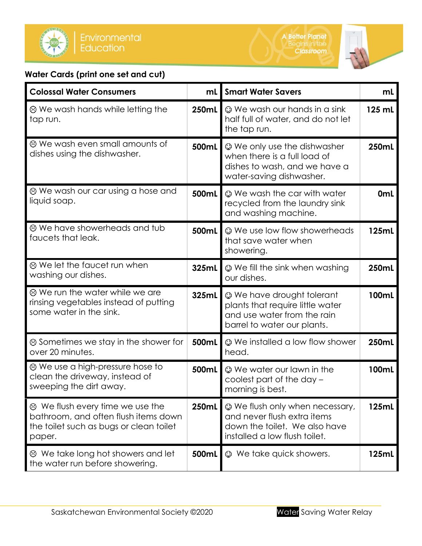

# **Water Cards (print one set and cut)**

| <b>Colossal Water Consumers</b>                                                                                                     | mL    | <b>Smart Water Savers</b>                                                                                                               | mL              |
|-------------------------------------------------------------------------------------------------------------------------------------|-------|-----------------------------------------------------------------------------------------------------------------------------------------|-----------------|
| ⊗ We wash hands while letting the<br>tap run.                                                                                       | 250mL | $\odot$ We wash our hands in a sink<br>half full of water, and do not let<br>the tap run.                                               | 125 mL          |
| ⊗ We wash even small amounts of<br>dishes using the dishwasher.                                                                     | 500mL | <b>We only use the dishwasher</b><br>when there is a full load of<br>dishes to wash, and we have a<br>water-saving dishwasher.          | 250mL           |
| ⊗ We wash our car using a hose and<br>liquid soap.                                                                                  | 500mL | © We wash the car with water<br>recycled from the laundry sink<br>and washing machine.                                                  | 0 <sub>mL</sub> |
| <sup>®</sup> We have showerheads and tub<br>faucets that leak.                                                                      | 500mL | © We use low flow showerheads<br>that save water when<br>showering.                                                                     | 125mL           |
| ⊗ We let the faucet run when<br>washing our dishes.                                                                                 | 325mL | © We fill the sink when washing<br>our dishes.                                                                                          | 250mL           |
| <sup>®</sup> We run the water while we are<br>rinsing vegetables instead of putting<br>some water in the sink.                      | 325mL | <sup>©</sup> We have drought tolerant<br>plants that require little water<br>and use water from the rain<br>barrel to water our plants. | 100mL           |
| $\odot$ Sometimes we stay in the shower for<br>over 20 minutes.                                                                     | 500mL | © We installed a low flow shower<br>head.                                                                                               | 250mL           |
| ⊗ We use a high-pressure hose to<br>clean the driveway, instead of<br>sweeping the dirt away.                                       | 500mL | © We water our lawn in the<br>coolest part of the day –<br>morning is best.                                                             | 100mL           |
| $\odot$ We flush every time we use the<br>bathroom, and often flush items down<br>the toilet such as bugs or clean toilet<br>paper. | 250mL | $\odot$ We flush only when necessary,<br>and never flush extra items<br>down the toilet. We also have<br>installed a low flush toilet.  | 125mL           |
| 8 We take long hot showers and let<br>the water run before showering.                                                               | 500mL | $\odot$ We take quick showers.                                                                                                          | 125mL           |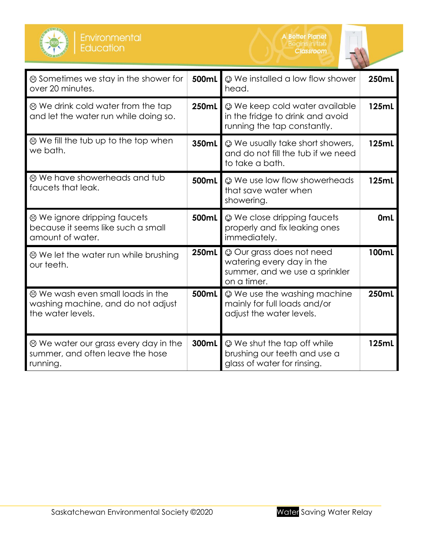



| ⊗ Sometimes we stay in the shower for<br>over 20 minutes.                                         | 500mL | © We installed a low flow shower<br>head.                                                               | <b>250mL</b>    |
|---------------------------------------------------------------------------------------------------|-------|---------------------------------------------------------------------------------------------------------|-----------------|
| ⊗ We drink cold water from the tap<br>and let the water run while doing so.                       | 250mL | © We keep cold water available<br>in the fridge to drink and avoid<br>running the tap constantly.       | 125mL           |
| $\odot$ We fill the tub up to the top when<br>we bath.                                            | 350mL | © We usually take short showers,<br>and do not fill the tub if we need<br>to take a bath.               | 125mL           |
| <sup>3</sup> We have showerheads and tub<br>faucets that leak.                                    | 500mL | © We use low flow showerheads<br>that save water when<br>showering.                                     | 125mL           |
| <sup>®</sup> We ignore dripping faucets<br>because it seems like such a small<br>amount of water. | 500mL | © We close dripping faucets<br>properly and fix leaking ones<br>immediately.                            | 0 <sub>mL</sub> |
| ⊗ We let the water run while brushing<br>our teeth.                                               | 250mL | © Our grass does not need<br>watering every day in the<br>summer, and we use a sprinkler<br>on a timer. | 100mL           |
| ⊗ We wash even small loads in the<br>washing machine, and do not adjust<br>the water levels.      | 500mL | © We use the washing machine<br>mainly for full loads and/or<br>adjust the water levels.                | 250mL           |
| ⊗ We water our grass every day in the<br>summer, and often leave the hose<br>running.             | 300mL | © We shut the tap off while<br>brushing our teeth and use a<br>glass of water for rinsing.              | 125mL           |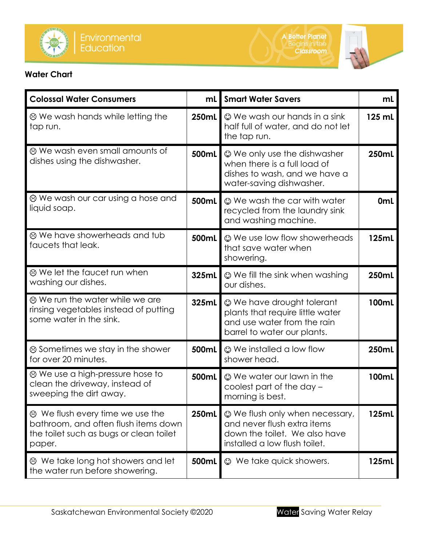



# **Water Chart**

| <b>Colossal Water Consumers</b>                                                                                                     | mL    | <b>Smart Water Savers</b>                                                                                                         | mL              |
|-------------------------------------------------------------------------------------------------------------------------------------|-------|-----------------------------------------------------------------------------------------------------------------------------------|-----------------|
| ⊗ We wash hands while letting the<br>tap run.                                                                                       | 250mL | $\odot$ We wash our hands in a sink<br>half full of water, and do not let<br>the tap run.                                         | 125 mL          |
| ⊗ We wash even small amounts of<br>dishes using the dishwasher.                                                                     | 500mL | <b>We only use the dishwasher</b><br>when there is a full load of<br>dishes to wash, and we have a<br>water-saving dishwasher.    | 250mL           |
| ⊗ We wash our car using a hose and<br>liquid soap.                                                                                  | 500mL | © We wash the car with water<br>recycled from the laundry sink<br>and washing machine.                                            | 0 <sub>mL</sub> |
| ⊗ We have showerheads and tub<br>faucets that leak.                                                                                 | 500mL | © We use low flow showerheads<br>that save water when<br>showering.                                                               | 125mL           |
| ⊗ We let the faucet run when<br>washing our dishes.                                                                                 | 325mL | $\odot$ We fill the sink when washing<br>our dishes.                                                                              | 250mL           |
| ⊗ We run the water while we are<br>rinsing vegetables instead of putting<br>some water in the sink.                                 | 325mL | <b>We have drought tolerant</b><br>plants that require little water<br>and use water from the rain<br>barrel to water our plants. | 100mL           |
| ⊗ Sometimes we stay in the shower<br>for over 20 minutes.                                                                           | 500mL | © We installed a low flow<br>shower head.                                                                                         | 250mL           |
| ⊗ We use a high-pressure hose to<br>clean the driveway, instead of<br>sweeping the dirt away.                                       | 500mL | © We water our lawn in the<br>coolest part of the day -<br>morning is best.                                                       | 100mL           |
| $\odot$ We flush every time we use the<br>bathroom, and often flush items down<br>the toilet such as bugs or clean toilet<br>paper. | 250mL | © We flush only when necessary,<br>and never flush extra items<br>down the toilet. We also have<br>installed a low flush toilet.  | 125mL           |
| ⊗ We take long hot showers and let<br>the water run before showering.                                                               | 500mL | $\odot$ We take quick showers.                                                                                                    | 125mL           |